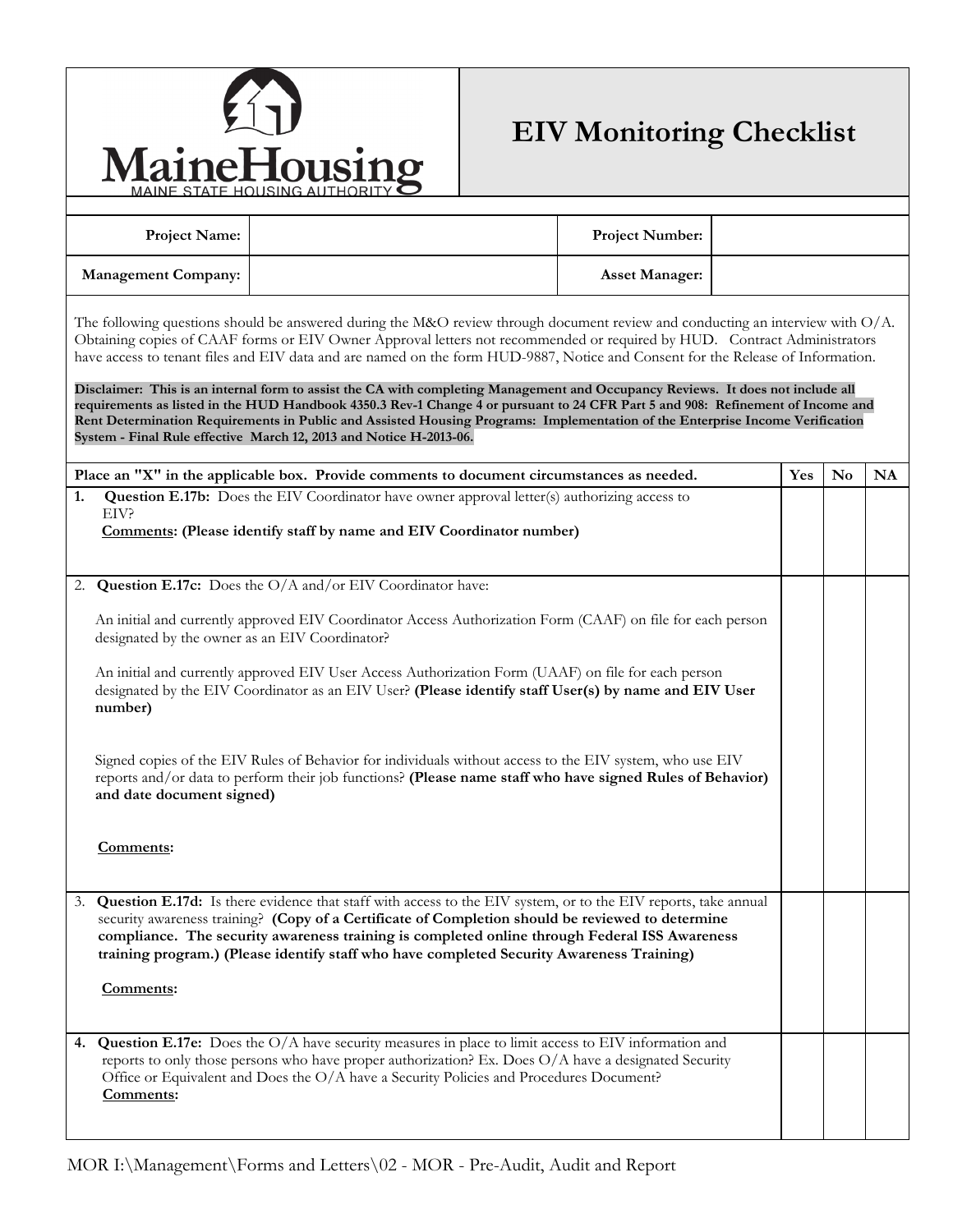

## **EIV Monitoring Checklist**

|                                                                                                                                                                                                                                                                                                                                                                                                                                                                                                                                                                                                                                                                                                                                                                                                                                                                               | MAINE STATE HOUSING AUTHORITY $\bullet$                                                                                                                                                                                                                                                                                                                                                                           |  |                        |  |     |    |           |  |  |
|-------------------------------------------------------------------------------------------------------------------------------------------------------------------------------------------------------------------------------------------------------------------------------------------------------------------------------------------------------------------------------------------------------------------------------------------------------------------------------------------------------------------------------------------------------------------------------------------------------------------------------------------------------------------------------------------------------------------------------------------------------------------------------------------------------------------------------------------------------------------------------|-------------------------------------------------------------------------------------------------------------------------------------------------------------------------------------------------------------------------------------------------------------------------------------------------------------------------------------------------------------------------------------------------------------------|--|------------------------|--|-----|----|-----------|--|--|
| <b>Project Name:</b>                                                                                                                                                                                                                                                                                                                                                                                                                                                                                                                                                                                                                                                                                                                                                                                                                                                          |                                                                                                                                                                                                                                                                                                                                                                                                                   |  | <b>Project Number:</b> |  |     |    |           |  |  |
| <b>Management Company:</b>                                                                                                                                                                                                                                                                                                                                                                                                                                                                                                                                                                                                                                                                                                                                                                                                                                                    |                                                                                                                                                                                                                                                                                                                                                                                                                   |  | <b>Asset Manager:</b>  |  |     |    |           |  |  |
| The following questions should be answered during the M&O review through document review and conducting an interview with $O/A$ .<br>Obtaining copies of CAAF forms or EIV Owner Approval letters not recommended or required by HUD. Contract Administrators<br>have access to tenant files and EIV data and are named on the form HUD-9887, Notice and Consent for the Release of Information.<br>Disclaimer: This is an internal form to assist the CA with completing Management and Occupancy Reviews. It does not include all<br>requirements as listed in the HUD Handbook 4350.3 Rev-1 Change 4 or pursuant to 24 CFR Part 5 and 908: Refinement of Income and<br>Rent Determination Requirements in Public and Assisted Housing Programs: Implementation of the Enterprise Income Verification<br>System - Final Rule effective March 12, 2013 and Notice H-2013-06. |                                                                                                                                                                                                                                                                                                                                                                                                                   |  |                        |  |     |    |           |  |  |
|                                                                                                                                                                                                                                                                                                                                                                                                                                                                                                                                                                                                                                                                                                                                                                                                                                                                               | Place an "X" in the applicable box. Provide comments to document circumstances as needed.                                                                                                                                                                                                                                                                                                                         |  |                        |  | Yes | No | <b>NA</b> |  |  |
| 1.<br>EIV?                                                                                                                                                                                                                                                                                                                                                                                                                                                                                                                                                                                                                                                                                                                                                                                                                                                                    | <b>Question E.17b:</b> Does the EIV Coordinator have owner approval letter(s) authorizing access to<br>Comments: (Please identify staff by name and EIV Coordinator number)                                                                                                                                                                                                                                       |  |                        |  |     |    |           |  |  |
| 2.                                                                                                                                                                                                                                                                                                                                                                                                                                                                                                                                                                                                                                                                                                                                                                                                                                                                            | Question E.17c: Does the O/A and/or EIV Coordinator have:                                                                                                                                                                                                                                                                                                                                                         |  |                        |  |     |    |           |  |  |
| An initial and currently approved EIV Coordinator Access Authorization Form (CAAF) on file for each person<br>designated by the owner as an EIV Coordinator?<br>An initial and currently approved EIV User Access Authorization Form (UAAF) on file for each person<br>designated by the EIV Coordinator as an EIV User? (Please identify staff User(s) by name and EIV User<br>number)<br>Signed copies of the EIV Rules of Behavior for individuals without access to the EIV system, who use EIV<br>reports and/or data to perform their job functions? (Please name staff who have signed Rules of Behavior)                                                                                                                                                                                                                                                              |                                                                                                                                                                                                                                                                                                                                                                                                                   |  |                        |  |     |    |           |  |  |
| and date document signed)                                                                                                                                                                                                                                                                                                                                                                                                                                                                                                                                                                                                                                                                                                                                                                                                                                                     |                                                                                                                                                                                                                                                                                                                                                                                                                   |  |                        |  |     |    |           |  |  |
| Comments:                                                                                                                                                                                                                                                                                                                                                                                                                                                                                                                                                                                                                                                                                                                                                                                                                                                                     |                                                                                                                                                                                                                                                                                                                                                                                                                   |  |                        |  |     |    |           |  |  |
| 3.<br>Comments:                                                                                                                                                                                                                                                                                                                                                                                                                                                                                                                                                                                                                                                                                                                                                                                                                                                               | Question E.17d: Is there evidence that staff with access to the EIV system, or to the EIV reports, take annual<br>security awareness training? (Copy of a Certificate of Completion should be reviewed to determine<br>compliance. The security awareness training is completed online through Federal ISS Awareness<br>training program.) (Please identify staff who have completed Security Awareness Training) |  |                        |  |     |    |           |  |  |
| 4.<br>Comments:                                                                                                                                                                                                                                                                                                                                                                                                                                                                                                                                                                                                                                                                                                                                                                                                                                                               | <b>Question E.17e:</b> Does the $O/A$ have security measures in place to limit access to EIV information and<br>reports to only those persons who have proper authorization? Ex. Does O/A have a designated Security<br>Office or Equivalent and Does the O/A have a Security Policies and Procedures Document?                                                                                                   |  |                        |  |     |    |           |  |  |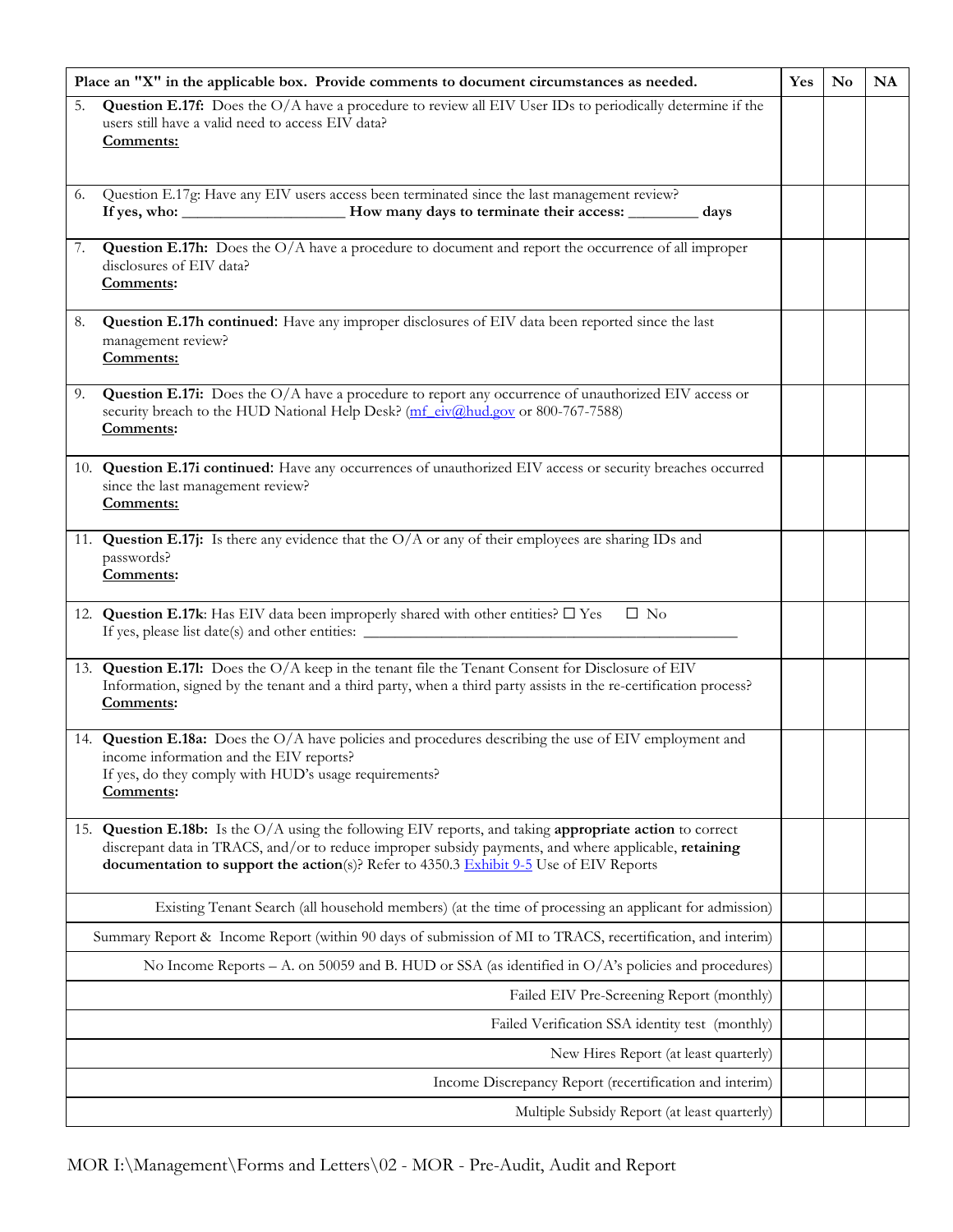| Place an "X" in the applicable box. Provide comments to document circumstances as needed.             |                                                                                                                                                                                                                                                                                                             | Yes | <b>No</b> | <b>NA</b> |
|-------------------------------------------------------------------------------------------------------|-------------------------------------------------------------------------------------------------------------------------------------------------------------------------------------------------------------------------------------------------------------------------------------------------------------|-----|-----------|-----------|
| 5.                                                                                                    | Question E.17f: Does the O/A have a procedure to review all EIV User IDs to periodically determine if the<br>users still have a valid need to access EIV data?<br>Comments:                                                                                                                                 |     |           |           |
| 6.                                                                                                    | Question E.17g: Have any EIV users access been terminated since the last management review?                                                                                                                                                                                                                 |     |           |           |
| 7.                                                                                                    | <b>Question E.17h:</b> Does the O/A have a procedure to document and report the occurrence of all improper<br>disclosures of EIV data?<br>Comments:                                                                                                                                                         |     |           |           |
| 8.                                                                                                    | Question E.17h continued: Have any improper disclosures of EIV data been reported since the last<br>management review?<br>Comments:                                                                                                                                                                         |     |           |           |
| 9.                                                                                                    | Question E.17i: Does the O/A have a procedure to report any occurrence of unauthorized EIV access or<br>security breach to the HUD National Help Desk? (mf_eiv@hud.gov or 800-767-7588)<br>Comments:                                                                                                        |     |           |           |
|                                                                                                       | 10. Question E.17i continued: Have any occurrences of unauthorized EIV access or security breaches occurred<br>since the last management review?<br>Comments:                                                                                                                                               |     |           |           |
|                                                                                                       | 11. Question E.17j: Is there any evidence that the $O/A$ or any of their employees are sharing IDs and<br>passwords?<br>Comments:                                                                                                                                                                           |     |           |           |
|                                                                                                       | 12. Question E.17k: Has EIV data been improperly shared with other entities? $\Box$ Yes<br>$\Box$ No                                                                                                                                                                                                        |     |           |           |
|                                                                                                       | 13. Question E.171: Does the O/A keep in the tenant file the Tenant Consent for Disclosure of EIV<br>Information, signed by the tenant and a third party, when a third party assists in the re-certification process?<br>Comments:                                                                          |     |           |           |
|                                                                                                       | 14. Question E.18a: Does the O/A have policies and procedures describing the use of EIV employment and<br>income information and the EIV reports?<br>If yes, do they comply with HUD's usage requirements?<br>Comments:                                                                                     |     |           |           |
|                                                                                                       | 15. Question E.18b: Is the O/A using the following EIV reports, and taking appropriate action to correct<br>discrepant data in TRACS, and/or to reduce improper subsidy payments, and where applicable, retaining<br>documentation to support the action(s)? Refer to 4350.3 Exhibit 9-5 Use of EIV Reports |     |           |           |
|                                                                                                       | Existing Tenant Search (all household members) (at the time of processing an applicant for admission)                                                                                                                                                                                                       |     |           |           |
|                                                                                                       | Summary Report & Income Report (within 90 days of submission of MI to TRACS, recertification, and interim)                                                                                                                                                                                                  |     |           |           |
| No Income Reports – A. on 50059 and B. HUD or SSA (as identified in $O/A$ 's policies and procedures) |                                                                                                                                                                                                                                                                                                             |     |           |           |
|                                                                                                       | Failed EIV Pre-Screening Report (monthly)                                                                                                                                                                                                                                                                   |     |           |           |
|                                                                                                       | Failed Verification SSA identity test (monthly)                                                                                                                                                                                                                                                             |     |           |           |
|                                                                                                       | New Hires Report (at least quarterly)                                                                                                                                                                                                                                                                       |     |           |           |
|                                                                                                       | Income Discrepancy Report (recertification and interim)                                                                                                                                                                                                                                                     |     |           |           |
|                                                                                                       | Multiple Subsidy Report (at least quarterly)                                                                                                                                                                                                                                                                |     |           |           |